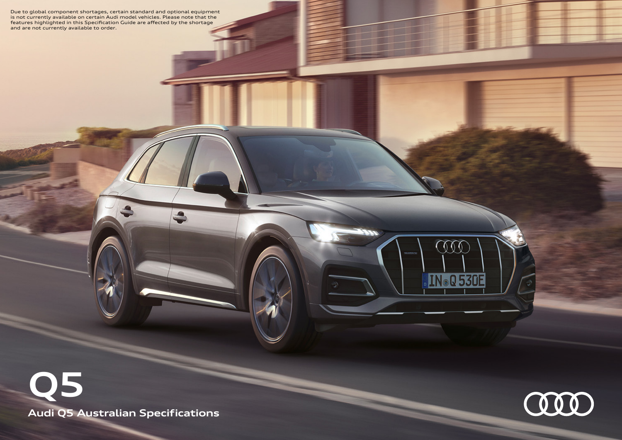Due to global component shortages, certain standard and optional equipment<br>is not currently available on certain Audi model vehicles. Please note that the<br>features highlighted in this Specification Guide are affected by th

**Audi Q5 Australian Specifications Q5**



000

Q 530E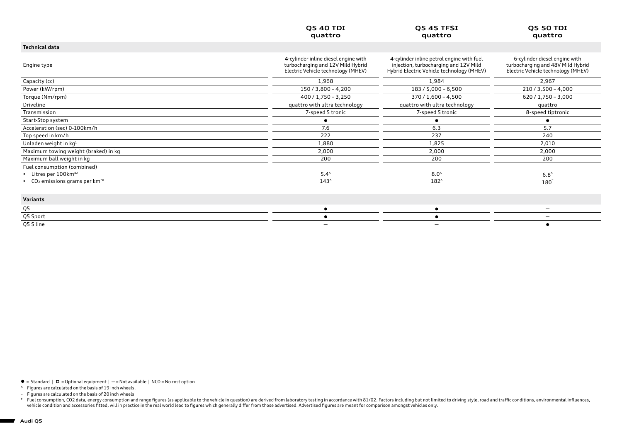|                                                                            | <b>Q5 40 TDI</b><br>quattro                                                                                     | <b>Q5 45 TFSI</b><br>quattro                                                                                                    | <b>Q5 50 TDI</b><br>quattro                                                                              |
|----------------------------------------------------------------------------|-----------------------------------------------------------------------------------------------------------------|---------------------------------------------------------------------------------------------------------------------------------|----------------------------------------------------------------------------------------------------------|
| <b>Technical data</b>                                                      |                                                                                                                 |                                                                                                                                 |                                                                                                          |
| Engine type                                                                | 4-cylinder inline diesel engine with<br>turbocharging and 12V Mild Hybrid<br>Electric Vehicle technology (MHEV) | 4-cylinder inline petrol engine with fuel<br>injection, turbocharging and 12V Mild<br>Hybrid Electric Vehicle technology (MHEV) | 6-cylinder diesel engine with<br>turbocharging and 48V Mild Hybrid<br>Electric Vehicle technology (MHEV) |
| Capacity (cc)                                                              | 1,968                                                                                                           | 1,984                                                                                                                           | 2,967                                                                                                    |
| Power (kW/rpm)                                                             | $150/3,800 - 4,200$                                                                                             | $183 / 5,000 - 6,500$                                                                                                           | $210 / 3,500 - 4,000$                                                                                    |
| Torque (Nm/rpm)                                                            | $400 / 1,750 - 3,250$                                                                                           | $370 / 1,600 - 4,500$                                                                                                           | $620 / 1,750 - 3,000$                                                                                    |
| Driveline                                                                  | quattro with ultra technology                                                                                   | quattro with ultra technology                                                                                                   | quattro                                                                                                  |
| Transmission                                                               | 7-speed S tronic                                                                                                | 7-speed S tronic                                                                                                                | 8-speed tiptronic                                                                                        |
| Start-Stop system                                                          |                                                                                                                 |                                                                                                                                 | ٠                                                                                                        |
| Acceleration (sec) 0-100km/h                                               | 7.6                                                                                                             | 6.3                                                                                                                             | 5.7                                                                                                      |
| Top speed in km/h                                                          | 222                                                                                                             | 237                                                                                                                             | 240                                                                                                      |
| Unladen weight in $kq^1$                                                   | 1,880                                                                                                           | 1,825                                                                                                                           | 2,010                                                                                                    |
| Maximum towing weight (braked) in kg                                       | 2,000                                                                                                           | 2,000                                                                                                                           | 2,000                                                                                                    |
| Maximum ball weight in kg                                                  | 200                                                                                                             | 200                                                                                                                             | 200                                                                                                      |
| Fuel consumption (combined)                                                |                                                                                                                 |                                                                                                                                 |                                                                                                          |
| $\blacktriangleright$ Litres per 100 km <sup>#<math>\triangle</math></sup> | $5.4^{\circ}$                                                                                                   | $8.0^{\circ}$                                                                                                                   | $6.8^{\triangle}$                                                                                        |
| ► $CO2$ emissions grams per km <sup>-<math>#</math></sup>                  | $143^{\circ}$                                                                                                   | 1824                                                                                                                            | $180^\circ$                                                                                              |
| Variants                                                                   |                                                                                                                 |                                                                                                                                 |                                                                                                          |
| Q5                                                                         | $\bullet$                                                                                                       | ٠                                                                                                                               | —                                                                                                        |
| Q5 Sport                                                                   |                                                                                                                 |                                                                                                                                 | —                                                                                                        |
| Q5 S line                                                                  |                                                                                                                 | $\overline{\phantom{0}}$                                                                                                        |                                                                                                          |

 $\bullet$  = Standard  $\mid$   $\Box$  = Optional equipment  $\mid$  - = Not available  $\mid$  NCO = No cost option

<sup>∆</sup> Figures are calculated on the basis of 19 inch wheels.

~ Figures are calculated on the basis of 20 inch wheels

Fuel consumption, CO2 data, energy consumption and range figures (as applicable to the vehicle in question) are derived from laboratory testing in accordance with 81/02. Factors including but not limited to driving style,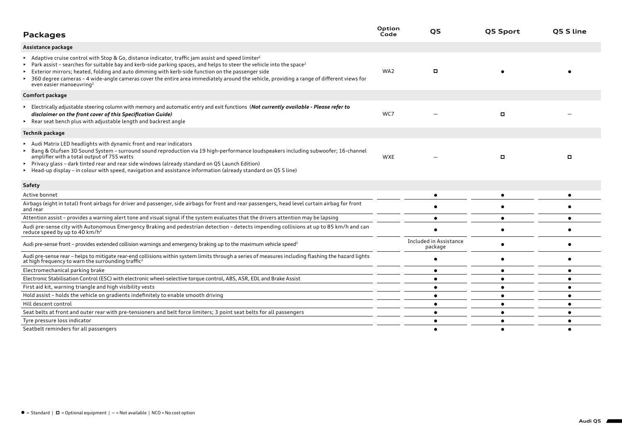| <b>Packages</b>                                                                                                                                                                                                                                                                                                                                                                                                                                                                                                                           | Option<br>Code | Q5                                | Q5 Sport  | O5 S line |
|-------------------------------------------------------------------------------------------------------------------------------------------------------------------------------------------------------------------------------------------------------------------------------------------------------------------------------------------------------------------------------------------------------------------------------------------------------------------------------------------------------------------------------------------|----------------|-----------------------------------|-----------|-----------|
| Assistance package                                                                                                                                                                                                                                                                                                                                                                                                                                                                                                                        |                |                                   |           |           |
| Adaptive cruise control with Stop & Go, distance indicator, traffic jam assist and speed limiter <sup>2</sup><br>Park assist - searches for suitable bay and kerb-side parking spaces, and helps to steer the vehicle into the space <sup>2</sup><br>Exterior mirrors; heated, folding and auto dimming with kerb-side function on the passenger side<br>360 degree cameras - 4 wide-angle cameras cover the entire area immediately around the vehicle, providing a range of different views for<br>even easier manoeuvring <sup>2</sup> | WA2            | п                                 |           |           |
| Comfort package                                                                                                                                                                                                                                                                                                                                                                                                                                                                                                                           |                |                                   |           |           |
| Electrically adjustable steering column with memory and automatic entry and exit functions (Not currently available - Please refer to<br>disclaimer on the front cover of this Specification Guide)<br>▶ Rear seat bench plus with adjustable length and backrest angle                                                                                                                                                                                                                                                                   | WC7            |                                   | о         |           |
| Technik package                                                                                                                                                                                                                                                                                                                                                                                                                                                                                                                           |                |                                   |           |           |
| Audi Matrix LED headlights with dynamic front and rear indicators<br>Bang & Olufsen 3D Sound System - surround sound reproduction via 19 high-performance loudspeakers including subwoofer; 16-channel<br>amplifier with a total output of 755 watts<br>► Privacy glass - dark tinted rear and rear side windows (already standard on Q5 Launch Edition)<br>Head-up display - in colour with speed, navigation and assistance information (already standard on Q5 S line)                                                                 | <b>WXE</b>     |                                   | о         | о         |
| <b>Safety</b>                                                                                                                                                                                                                                                                                                                                                                                                                                                                                                                             |                |                                   |           |           |
| Active bonnet                                                                                                                                                                                                                                                                                                                                                                                                                                                                                                                             |                | ٠                                 |           |           |
| Airbags (eight in total) front airbags for driver and passenger, side airbags for front and rear passengers, head level curtain airbag for front<br>and rear                                                                                                                                                                                                                                                                                                                                                                              |                |                                   |           |           |
| Attention assist - provides a warning alert tone and visual signal if the system evaluates that the drivers attention may be lapsing                                                                                                                                                                                                                                                                                                                                                                                                      |                | $\bullet$                         | $\bullet$ |           |
| Audi pre-sense city with Autonomous Emergency Braking and pedestrian detection - detects impending collisions at up to 85 km/h and can<br>reduce speed by up to 40 km/h <sup>2</sup>                                                                                                                                                                                                                                                                                                                                                      |                |                                   |           |           |
| Audi pre-sense front – provides extended collision warnings and emergency braking up to the maximum vehicle speed <sup>2</sup>                                                                                                                                                                                                                                                                                                                                                                                                            |                | Included in Assistance<br>package |           |           |
| Audi pre-sense rear - helps to mitigate rear-end collisions within system limits through a series of measures including flashing the hazard lights<br>at high frequency to warn the surrounding traffic <sup>2</sup>                                                                                                                                                                                                                                                                                                                      |                |                                   | $\bullet$ |           |
| Electromechanical parking brake                                                                                                                                                                                                                                                                                                                                                                                                                                                                                                           |                | ٠                                 | $\bullet$ |           |
| Electronic Stabilisation Control (ESC) with electronic wheel-selective torque control, ABS, ASR, EDL and Brake Assist                                                                                                                                                                                                                                                                                                                                                                                                                     |                | $\bullet$                         | $\bullet$ |           |
| First aid kit, warning triangle and high visibility vests                                                                                                                                                                                                                                                                                                                                                                                                                                                                                 |                | $\bullet$                         | $\bullet$ |           |
| Hold assist - holds the vehicle on gradients indefinitely to enable smooth driving                                                                                                                                                                                                                                                                                                                                                                                                                                                        |                |                                   | ٠         |           |
| Hill descent control                                                                                                                                                                                                                                                                                                                                                                                                                                                                                                                      |                |                                   | $\bullet$ |           |
| Seat belts at front and outer rear with pre-tensioners and belt force limiters; 3 point seat belts for all passengers                                                                                                                                                                                                                                                                                                                                                                                                                     |                |                                   | ٠         | ٠         |
| Tyre pressure loss indicator                                                                                                                                                                                                                                                                                                                                                                                                                                                                                                              |                |                                   | ٠         |           |
| Seatbelt reminders for all passengers                                                                                                                                                                                                                                                                                                                                                                                                                                                                                                     |                |                                   |           |           |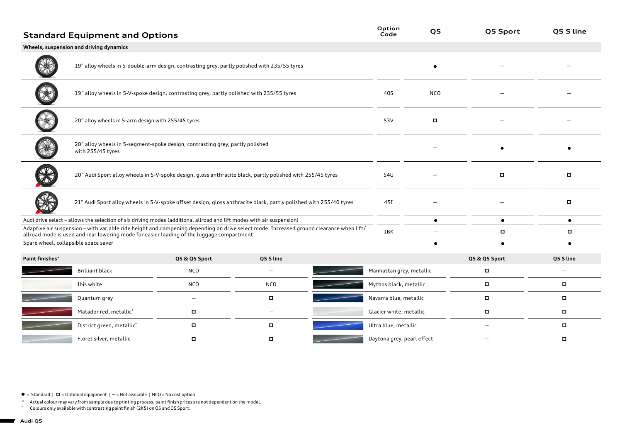|                                                                                                                                                                                                                                      | <b>Standard Equipment and Options</b>                                                                             |                          |                          |  | Option<br>Code             | Q5         | Q5 Sport                 | Q5 S line                |
|--------------------------------------------------------------------------------------------------------------------------------------------------------------------------------------------------------------------------------------|-------------------------------------------------------------------------------------------------------------------|--------------------------|--------------------------|--|----------------------------|------------|--------------------------|--------------------------|
|                                                                                                                                                                                                                                      | Wheels, suspension and driving dynamics                                                                           |                          |                          |  |                            |            |                          |                          |
|                                                                                                                                                                                                                                      | 19" alloy wheels in 5-double-arm design, contrasting grey, partly polished with 235/55 tyres                      |                          |                          |  |                            | $\bullet$  |                          |                          |
|                                                                                                                                                                                                                                      | 19" alloy wheels in 5-V-spoke design, contrasting grey, partly polished with 235/55 tyres                         |                          |                          |  |                            | <b>NCO</b> |                          |                          |
|                                                                                                                                                                                                                                      | 20" alloy wheels in 5-arm design with 255/45 tyres                                                                |                          |                          |  |                            | $\Box$     |                          |                          |
|                                                                                                                                                                                                                                      | 20" alloy wheels in 5-segment-spoke design, contrasting grey, partly polished<br>with 255/45 tyres                |                          |                          |  |                            |            |                          |                          |
|                                                                                                                                                                                                                                      | 20" Audi Sport alloy wheels in 5-V-spoke design, gloss anthracite black, partly polished with 255/45 tyres        |                          |                          |  |                            |            | о                        | $\Box$                   |
|                                                                                                                                                                                                                                      | 21" Audi Sport alloy wheels in 5-V-spoke offset design, gloss anthracite black, partly polished with 255/40 tyres |                          |                          |  | 451                        |            |                          | о                        |
| Audi drive select - allows the selection of six driving modes (additional allroad and lift modes with air suspension)                                                                                                                |                                                                                                                   |                          |                          |  | $\bullet$                  | $\bullet$  | $\bullet$                |                          |
| Adaptive air suspension - with variable ride height and dampening depending on drive select mode. Increased ground clearance when lift/<br>allroad mode is used and rear lowering mode for easier loading of the luggage compartment |                                                                                                                   |                          | 1BK                      |  | о                          | о          |                          |                          |
| Spare wheel, collapsible space saver                                                                                                                                                                                                 |                                                                                                                   |                          |                          |  |                            | $\bullet$  | $\bullet$                |                          |
| Paint finishes <sup>^</sup>                                                                                                                                                                                                          |                                                                                                                   | Q5 & Q5 Sport            | Q5 S line                |  |                            |            | Q5 & Q5 Sport            | Q5 S line                |
|                                                                                                                                                                                                                                      | <b>Brilliant black</b>                                                                                            | <b>NCO</b>               | $\overline{\phantom{0}}$ |  | Manhattan grey, metallic   |            | α                        | $\overline{\phantom{0}}$ |
|                                                                                                                                                                                                                                      | Ibis white                                                                                                        | <b>NCO</b>               | <b>NCO</b>               |  | Mythos black, metallic     |            | п                        | п                        |
|                                                                                                                                                                                                                                      | Quantum grey                                                                                                      | $\overline{\phantom{m}}$ | $\Box$                   |  | Navarra blue, metallic     |            | о                        | $\Box$                   |
|                                                                                                                                                                                                                                      | Matador red, metallic°                                                                                            | п                        | $\qquad \qquad -$        |  | Glacier white, metallic    |            | п                        |                          |
|                                                                                                                                                                                                                                      | District green, metallic°                                                                                         | о                        | о                        |  | Ultra blue, metallic       |            | $\qquad \qquad -$        | п                        |
|                                                                                                                                                                                                                                      | Floret silver, metallic                                                                                           | о                        | п                        |  | Daytona grey, pearl effect |            | $\overline{\phantom{0}}$ | п                        |

 $\bullet$  = Standard |  $\Box$  = Optional equipment | - = Not available | NCO = No cost option

^ Actual colour may vary from sample due to printing process, paint finish prices are not dependent on the model.

˚ Colours only available with contrasting paint finish (2K5) on Q5 and Q5 Sport.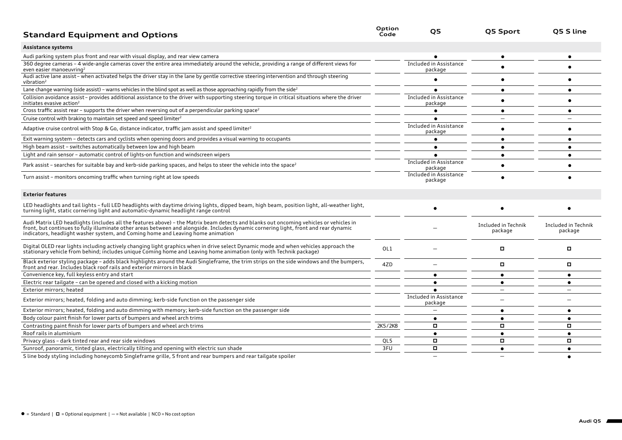| <b>Standard Equipment and Options</b>                                                                                                                                                                                                                                                                                                                             | Option<br>Code | Q5                                | <b>Q5 Sport</b>                | Q5 S line                      |
|-------------------------------------------------------------------------------------------------------------------------------------------------------------------------------------------------------------------------------------------------------------------------------------------------------------------------------------------------------------------|----------------|-----------------------------------|--------------------------------|--------------------------------|
| Assistance systems                                                                                                                                                                                                                                                                                                                                                |                |                                   |                                |                                |
| Audi parking system plus front and rear with visual display, and rear view camera                                                                                                                                                                                                                                                                                 |                |                                   |                                |                                |
| 360 degree cameras - 4 wide-angle cameras cover the entire area immediately around the vehicle, providing a range of different views for<br>even easier manoeuvring <sup>2</sup>                                                                                                                                                                                  |                | Included in Assistance<br>package |                                |                                |
| Audi active lane assist-when activated helps the driver stay in the lane by gentle corrective steering intervention and through steering<br>vibration <sup>2</sup>                                                                                                                                                                                                |                |                                   |                                |                                |
| Lane change warning (side assist) - warns vehicles in the blind spot as well as those approaching rapidly from the side <sup>2</sup>                                                                                                                                                                                                                              |                |                                   |                                |                                |
| Collision avoidance assist-provides additional assistance to the driver with supporting steering torque in critical situations where the driver<br>initiates evasive action <sup>2</sup>                                                                                                                                                                          |                | Included in Assistance<br>package |                                |                                |
| Cross traffic assist rear – supports the driver when reversing out of a perpendicular parking space <sup>2</sup>                                                                                                                                                                                                                                                  |                |                                   |                                |                                |
| Cruise control with braking to maintain set speed and speed limiter <sup>2</sup>                                                                                                                                                                                                                                                                                  |                |                                   |                                |                                |
| Adaptive cruise control with Stop & Go, distance indicator, traffic jam assist and speed limiter <sup>2</sup>                                                                                                                                                                                                                                                     |                | Included in Assistance<br>package |                                |                                |
| Exit warning system - detects cars and cyclists when opening doors and provides a visual warning to occupants                                                                                                                                                                                                                                                     |                |                                   |                                |                                |
| High beam assist - switches automatically between low and high beam                                                                                                                                                                                                                                                                                               |                |                                   |                                |                                |
| Light and rain sensor - automatic control of lights-on function and windscreen wipers                                                                                                                                                                                                                                                                             |                |                                   |                                |                                |
| Park assist – searches for suitable bay and kerb-side parking spaces, and helps to steer the vehicle into the space <sup>2</sup>                                                                                                                                                                                                                                  |                | Included in Assistance<br>package |                                |                                |
| Turn assist - monitors oncoming traffic when turning right at low speeds                                                                                                                                                                                                                                                                                          |                | Included in Assistance<br>package |                                |                                |
| <b>Exterior features</b>                                                                                                                                                                                                                                                                                                                                          |                |                                   |                                |                                |
| LED headlights and tail lights - full LED headlights with daytime driving lights, dipped beam, high beam, position light, all-weather light,<br>turning light, static cornering light and automatic-dynamic headlight range control                                                                                                                               |                |                                   |                                |                                |
| Audi Matrix LED headlights (includes all the features above) - the Matrix beam detects and blanks out oncoming vehicles or vehicles in<br>front, but continues to fully illuminate other areas between and alongside. Includes dynamic cornering light, front and rear dynamic<br>indicators, headlight washer system, and Coming home and Leaving home animation |                |                                   | Included in Technik<br>package | Included in Technik<br>package |
| Digital OLED rear lights including actively changing light graphics when in drive select Dynamic mode and when vehicles approach the<br>stationary vehicle from behind; includes unique Coming home and Leaving home animation (o                                                                                                                                 | OL1            |                                   | о                              | 0                              |
| Black exterior styling package - adds black highlights around the Audi Singleframe, the trim strips on the side windows and the bumpers,<br>front and rear. Includes black roof rails and exterior mirrors in black                                                                                                                                               | 4ZD            |                                   | о                              | о                              |
| Convenience key, full keyless entry and start                                                                                                                                                                                                                                                                                                                     |                |                                   |                                | $\bullet$                      |
| Electric rear tailgate - can be opened and closed with a kicking motion                                                                                                                                                                                                                                                                                           |                |                                   |                                |                                |
| Exterior mirrors; heated                                                                                                                                                                                                                                                                                                                                          |                |                                   |                                |                                |
| Exterior mirrors; heated, folding and auto dimming; kerb-side function on the passenger side                                                                                                                                                                                                                                                                      |                | Included in Assistance<br>package |                                |                                |
| Exterior mirrors; heated, folding and auto dimming with memory; kerb-side function on the passenger side                                                                                                                                                                                                                                                          |                |                                   |                                | $\bullet$                      |
| Body colour paint finish for lower parts of bumpers and wheel arch trims                                                                                                                                                                                                                                                                                          |                |                                   |                                |                                |
| Contrasting paint finish for lower parts of bumpers and wheel arch trims                                                                                                                                                                                                                                                                                          | 2K5/2K8        | о                                 | о                              | о                              |
| Roof rails in aluminium                                                                                                                                                                                                                                                                                                                                           |                |                                   |                                |                                |
| Privacy glass - dark tinted rear and rear side windows                                                                                                                                                                                                                                                                                                            | QL5            | α                                 | $\Box$                         | $\Box$                         |
| Sunroof, panoramic, tinted glass, electrically tilting and opening with electric sun shade                                                                                                                                                                                                                                                                        | 3FU            | о                                 |                                |                                |
| S line body styling including honeycomb Singleframe grille, S front and rear bumpers and rear tailgate spoiler                                                                                                                                                                                                                                                    |                |                                   |                                |                                |

S line body styling including honeycomb Singleframe grille, S front and rear bumpers and rear tailgate spoiler  $-$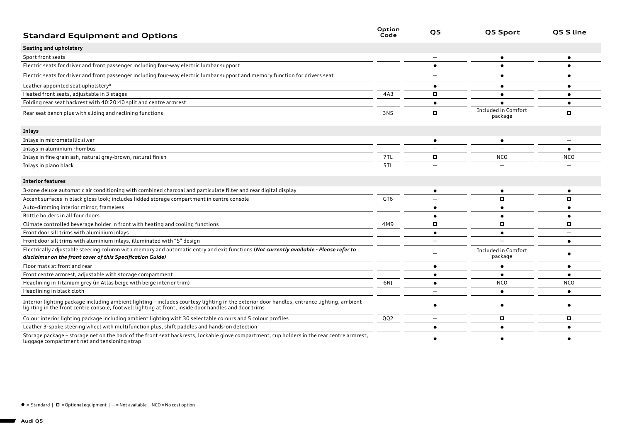| <b>Standard Equipment and Options</b>                                                                                                                                                                                             | Option<br>Code | Q5                       | Q5 Sport                       | Q5 S line                |
|-----------------------------------------------------------------------------------------------------------------------------------------------------------------------------------------------------------------------------------|----------------|--------------------------|--------------------------------|--------------------------|
| Seating and upholstery                                                                                                                                                                                                            |                |                          |                                |                          |
| Sport front seats                                                                                                                                                                                                                 |                |                          | ٠                              |                          |
| Electric seats for driver and front passenger including four-way electric lumbar support                                                                                                                                          |                | $\bullet$                | $\bullet$                      |                          |
| Electric seats for driver and front passenger including four-way electric lumbar support and memory function for drivers seat                                                                                                     |                |                          |                                |                          |
| Leather appointed seat upholstery <sup>8</sup>                                                                                                                                                                                    |                |                          | $\bullet$                      |                          |
| Heated front seats, adjustable in 3 stages                                                                                                                                                                                        | 4A3            |                          | ٠                              |                          |
| Folding rear seat backrest with 40:20:40 split and centre armrest                                                                                                                                                                 |                |                          |                                |                          |
| Rear seat bench plus with sliding and reclining functions                                                                                                                                                                         | 3NS            |                          | Included in Comfort<br>package | $\Box$                   |
| Inlays                                                                                                                                                                                                                            |                |                          |                                |                          |
| Inlays in micrometallic silver                                                                                                                                                                                                    |                |                          | ٠                              |                          |
| Inlays in aluminium rhombus                                                                                                                                                                                                       |                |                          |                                |                          |
| Inlays in fine grain ash, natural grey-brown, natural finish                                                                                                                                                                      | 7TL            | о                        | <b>NCO</b>                     | <b>NCO</b>               |
| Inlays in piano black                                                                                                                                                                                                             | 5TL            |                          |                                |                          |
| <b>Interior features</b>                                                                                                                                                                                                          |                |                          |                                |                          |
| 3-zone deluxe automatic air conditioning with combined charcoal and particulate filter and rear digital display                                                                                                                   |                |                          | $\bullet$                      |                          |
| Accent surfaces in black gloss look; includes lidded storage compartment in centre console                                                                                                                                        | GT6            |                          | $\Box$                         | о                        |
| Auto-dimming interior mirror, frameless                                                                                                                                                                                           |                |                          |                                |                          |
| Bottle holders in all four doors                                                                                                                                                                                                  |                |                          | $\bullet$                      | $\bullet$                |
| Climate controlled beverage holder in front with heating and cooling functions                                                                                                                                                    | 4M9            |                          | о                              | о                        |
| Front door sill trims with aluminium inlays                                                                                                                                                                                       |                | $\bullet$                | $\bullet$                      | $\overline{\phantom{0}}$ |
| Front door sill trims with aluminium inlays, illuminated with "S" design                                                                                                                                                          |                | $\overline{\phantom{0}}$ |                                | $\bullet$                |
| Electrically adjustable steering column with memory and automatic entry and exit functions (Not currently available - Please refer to<br>disclaimer on the front cover of this Specification Guide)                               |                |                          | Included in Comfort<br>package |                          |
| Floor mats at front and rear                                                                                                                                                                                                      |                |                          | $\bullet$                      |                          |
| Front centre armrest, adjustable with storage compartment                                                                                                                                                                         |                | ٠                        | $\bullet$                      |                          |
| Headlining in Titanium grey (in Atlas beige with beige interior trim)                                                                                                                                                             | 6N)            | $\bullet$                | <b>NCO</b>                     | <b>NCO</b>               |
| Headlining in black cloth                                                                                                                                                                                                         |                |                          | ٠                              | $\bullet$                |
| Interior lighting package including ambient lighting - includes courtesy lighting in the exterior door handles, entrance lighting, ambient<br>lighting in the front centre console, footwell lighting at front, inside door handl |                |                          |                                |                          |
| Colour interior lighting package including ambient lighting with 30 selectable colours and 5 colour profiles                                                                                                                      | QQ2            | $\overline{\phantom{0}}$ | о                              | о                        |
| Leather 3-spoke steering wheel with multifunction plus, shift paddles and hands-on detection                                                                                                                                      |                | $\bullet$                | $\bullet$                      |                          |
| Storage package - storage net on the back of the front seat backrests, lockable glove compartment, cup holders in the rear centre armrest,<br>luggage compartment net and tensioning strap                                        |                |                          |                                |                          |

 $\bullet$  = Standard |  $\Box$  = Optional equipment | - = Not available | NCO = No cost option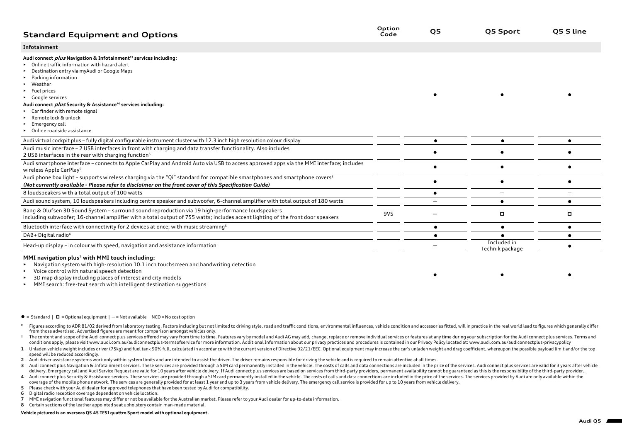| <b>Standard Equipment and Options</b>                                                                                                                                                                                                                                             | Option<br>Code | Q5 | Q5 Sport                       | O5 S line |
|-----------------------------------------------------------------------------------------------------------------------------------------------------------------------------------------------------------------------------------------------------------------------------------|----------------|----|--------------------------------|-----------|
| Infotainment                                                                                                                                                                                                                                                                      |                |    |                                |           |
| Audi connect <i>plus</i> Navigation & Infotainment <sup>+3</sup> services including:<br>Online traffic information with hazard alert<br>Destination entry via myAudi or Google Maps<br>Parking information<br>• Weather<br>$\blacktriangleright$ Fuel prices<br>• Google services |                |    |                                |           |
| Audi connect <i>plus</i> Security & Assistance <sup>14</sup> services including:<br>Car finder with remote signal<br>Remote lock & unlock<br>Emergency call<br>• Online roadside assistance                                                                                       |                |    |                                |           |
| Audi virtual cockpit plus - fully digital configurable instrument cluster with 12.3 inch high resolution colour display                                                                                                                                                           |                | ●  | $\bullet$                      |           |
| Audi music interface - 2 USB interfaces in front with charging and data transfer functionality. Also includes<br>2 USB interfaces in the rear with charging function <sup>5</sup>                                                                                                 |                |    |                                |           |
| Audi smartphone interface - connects to Apple CarPlay and Android Auto via USB to access approved apps via the MMI interface; includes<br>wireless Apple CarPlay <sup>5</sup>                                                                                                     |                |    |                                |           |
| Audi phone box light - supports wireless charging via the "Qi" standard for compatible smartphones and smartphone covers <sup>5</sup><br>(Not currently available - Please refer to disclaimer on the front cover of this Specification Guide)                                    |                |    |                                |           |
| 8 loudspeakers with a total output of 100 watts                                                                                                                                                                                                                                   |                |    |                                |           |
| Audi sound system, 10 loudspeakers including centre speaker and subwoofer, 6-channel amplifier with total output of 180 watts                                                                                                                                                     |                |    |                                |           |
| Bang & Olufsen 3D Sound System - surround sound reproduction via 19 high-performance loudspeakers<br>including subwoofer; 16-channel amplifier with a total output of 755 watts; includes accent lighting of the front door speakers                                              | 9VS            |    | о                              | о         |
| Bluetooth interface with connectivity for 2 devices at once; with music streaming <sup>5</sup>                                                                                                                                                                                    |                |    | $\bullet$                      |           |
| DAB+ Digital radio <sup>6</sup>                                                                                                                                                                                                                                                   |                |    |                                |           |
| Head-up display - in colour with speed, navigation and assistance information                                                                                                                                                                                                     |                |    | Included in<br>Technik package |           |

## **MMI navigation plus**7 **with MMI touch including:**

• Navigation system with high-resolution 10.1 inch touchscreen and handwriting detection

- Voice control with natural speech detection
- 3D map display including places of interest and city models
- MMI search: free-text search with intelligent destination suggestions
- $\bullet$  = Standard  $\mid$   $\Box$  = Optional equipment  $\mid$   $-$  = Not available  $\mid$  NCO = No cost option
- Figures according to ADR 81/02 derived from laboratory testing. Factors including but not limited to driving style, road and traffic conditions, environmental influences, vehicle condition and accessories fitted, will in p from those advertised. Advertised figures are meant for comparison amongst vehicles only.
- The content and scope of the Audi connect plus services offered may vary from time to time. Features vary by model and Audi AG may add. change, replace or remove individual services or features at any time during your subs conditions apply, please visit www.audi.com.au/audiconnectplus-termsofservice for more information. Additional Information about our privacy practices and procedures is contained in our Privacy Policy located at: www.audi.
- 1 Unladen vehicle weight includes driver (75kg) and fuel tank 90% full, calculated in accordance with the current version of Directive 92/21/EEC. Optional equipment may increase the car's unladen weight and drag coefficien speed will be reduced accordingly.
- **2** Audi driver assistance systems work only within system limits and are intended to assist the driver. The driver remains responsible for driving the vehicle and is required to remain attentive at all times.
- 3 Audi connect plus Navigation & Infotainment services. These services are provided through a SIM card permanently installed in the vehicle. The costs of calls and data connections are included in the price of the services delivery. Emergency call and Audi Service Request are valid for 10 years after vehicle delivery. If Audi connect plus services are based on services from third-party providers, permanent availability cannot be guaranteed a
- 4 Audi connect plus Security & Assistance services. These services are provided through a SIM card permanently installed in the vehicle. The costs of calls and data connections are included in the price of the services. Th coverage of the mobile phone network. The services are generally provided for at least 1 year and up to 3 years from vehicle delivery. The emergency call service is provided for up to 10 years from vehicle delivery.
- **5** Please check with your Audi dealer for approved telephones that have been tested by Audi for compatibility.
- **6** Digital radio reception coverage dependent on vehicle location.
- **7** MMI navigation functional features may differ or not be available for the Australian market. Please refer to your Audi dealer for up-to-date information.
- **8** Certain sections of the leather appointed seat upholstery contain man-made material.

## **Vehicle pictured is an overseas Q5 45 TFSI quattro Sport model with optional equipment.**